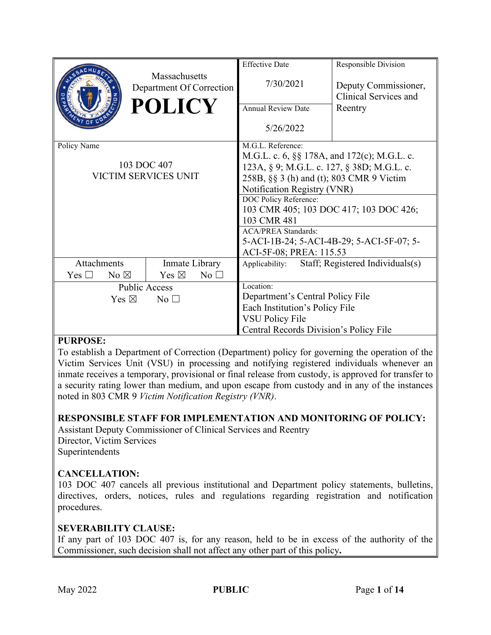|                             |                |                                           |                 | <b>Effective Date</b>                                       | Responsible Division                          |  |
|-----------------------------|----------------|-------------------------------------------|-----------------|-------------------------------------------------------------|-----------------------------------------------|--|
|                             |                | Massachusetts<br>Department Of Correction |                 | 7/30/2021                                                   | Deputy Commissioner,<br>Clinical Services and |  |
|                             |                | <b>POLICY</b>                             |                 | <b>Annual Review Date</b>                                   | Reentry                                       |  |
|                             |                |                                           |                 | 5/26/2022                                                   |                                               |  |
| Policy Name                 |                |                                           |                 | M.G.L. Reference:                                           |                                               |  |
|                             |                |                                           |                 | M.G.L. c. 6, §§ 178A, and 172(c); M.G.L. c.                 |                                               |  |
| 103 DOC 407                 |                |                                           |                 | 123A, § 9; M.G.L. c. 127, § 38D; M.G.L. c.                  |                                               |  |
| <b>VICTIM SERVICES UNIT</b> |                |                                           |                 | 258B, §§ 3 (h) and (t); 803 CMR 9 Victim                    |                                               |  |
|                             |                |                                           |                 | Notification Registry (VNR)                                 |                                               |  |
|                             |                |                                           |                 | DOC Policy Reference:                                       |                                               |  |
|                             |                |                                           |                 | 103 CMR 405; 103 DOC 417; 103 DOC 426;                      |                                               |  |
|                             |                |                                           |                 | 103 CMR 481                                                 |                                               |  |
|                             |                |                                           |                 | <b>ACA/PREA Standards:</b>                                  |                                               |  |
|                             |                |                                           |                 | 5-ACI-1B-24; 5-ACI-4B-29; 5-ACI-5F-07; 5-                   |                                               |  |
| Attachments                 |                | Inmate Library                            |                 | ACI-5F-08; PREA: 115.53<br>Staff; Registered Individuals(s) |                                               |  |
|                             |                |                                           |                 | Applicability:                                              |                                               |  |
| Yes $\Box$                  | No $\boxtimes$ | Yes $\boxtimes$                           | No <sub>1</sub> |                                                             |                                               |  |
| <b>Public Access</b>        |                |                                           |                 | Location:                                                   |                                               |  |
| Yes $\boxtimes$<br>No       |                |                                           |                 | Department's Central Policy File                            |                                               |  |
|                             |                |                                           |                 | Each Institution's Policy File                              |                                               |  |
|                             |                |                                           |                 | <b>VSU Policy File</b>                                      |                                               |  |
|                             |                |                                           |                 | Central Records Division's Policy File                      |                                               |  |

#### **PURPOSE:**

To establish a Department of Correction (Department) policy for governing the operation of the Victim Services Unit (VSU) in processing and notifying registered individuals whenever an inmate receives a temporary, provisional or final release from custody, is approved for transfer to a security rating lower than medium, and upon escape from custody and in any of the instances noted in 803 CMR 9 *Victim Notification Registry (VNR)*.

#### **RESPONSIBLE STAFF FOR IMPLEMENTATION AND MONITORING OF POLICY:**

Assistant Deputy Commissioner of Clinical Services and Reentry Director, Victim Services Superintendents

#### **CANCELLATION:**

103 DOC 407 cancels all previous institutional and Department policy statements, bulletins, directives, orders, notices, rules and regulations regarding registration and notification procedures.

#### **SEVERABILITY CLAUSE:**

If any part of 103 DOC 407 is, for any reason, held to be in excess of the authority of the Commissioner, such decision shall not affect any other part of this policy**.**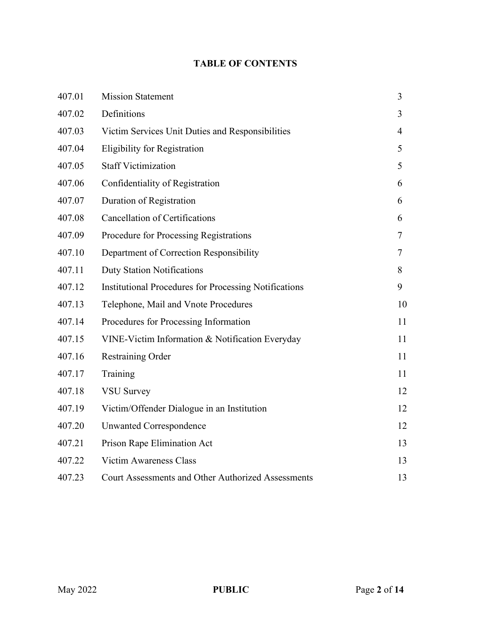# **TABLE OF CONTENTS**

| 407.01 | <b>Mission Statement</b>                                     | 3  |
|--------|--------------------------------------------------------------|----|
| 407.02 | Definitions                                                  | 3  |
| 407.03 | Victim Services Unit Duties and Responsibilities             | 4  |
| 407.04 | <b>Eligibility for Registration</b>                          | 5  |
| 407.05 | <b>Staff Victimization</b>                                   | 5  |
| 407.06 | Confidentiality of Registration                              | 6  |
| 407.07 | Duration of Registration                                     | 6  |
| 407.08 | <b>Cancellation of Certifications</b>                        | 6  |
| 407.09 | Procedure for Processing Registrations                       | 7  |
| 407.10 | Department of Correction Responsibility                      | 7  |
| 407.11 | <b>Duty Station Notifications</b>                            | 8  |
| 407.12 | <b>Institutional Procedures for Processing Notifications</b> | 9  |
| 407.13 | Telephone, Mail and Vnote Procedures                         | 10 |
| 407.14 | Procedures for Processing Information                        | 11 |
| 407.15 | VINE-Victim Information & Notification Everyday              | 11 |
| 407.16 | <b>Restraining Order</b>                                     | 11 |
| 407.17 | Training                                                     | 11 |
| 407.18 | <b>VSU Survey</b>                                            | 12 |
| 407.19 | Victim/Offender Dialogue in an Institution                   | 12 |
| 407.20 | <b>Unwanted Correspondence</b>                               | 12 |
| 407.21 | Prison Rape Elimination Act                                  | 13 |
| 407.22 | <b>Victim Awareness Class</b>                                | 13 |
| 407.23 | Court Assessments and Other Authorized Assessments           | 13 |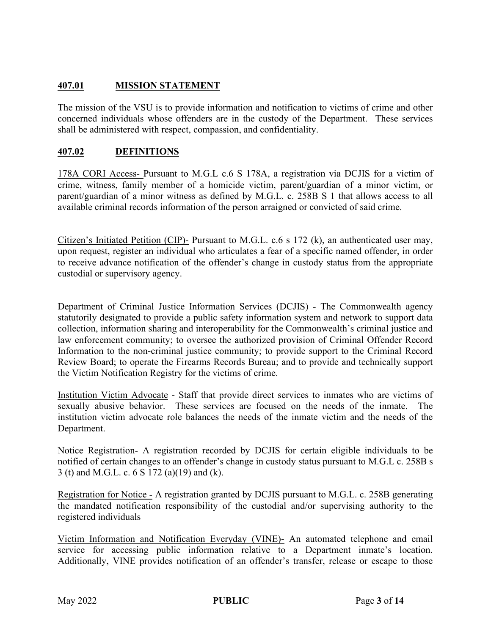# **407.01 MISSION STATEMENT**

The mission of the VSU is to provide information and notification to victims of crime and other concerned individuals whose offenders are in the custody of the Department. These services shall be administered with respect, compassion, and confidentiality.

### **407.02 DEFINITIONS**

178A CORI Access- Pursuant to M.G.L c.6 S 178A, a registration via DCJIS for a victim of crime, witness, family member of a homicide victim, parent/guardian of a minor victim, or parent/guardian of a minor witness as defined by M.G.L. c. 258B S 1 that allows access to all available criminal records information of the person arraigned or convicted of said crime.

Citizen's Initiated Petition (CIP)- Pursuant to M.G.L. c.6 s 172 (k), an authenticated user may, upon request, register an individual who articulates a fear of a specific named offender, in order to receive advance notification of the offender's change in custody status from the appropriate custodial or supervisory agency.

Department of Criminal Justice Information Services (DCJIS) - The Commonwealth agency statutorily designated to provide a public safety information system and network to support data collection, information sharing and interoperability for the Commonwealth's criminal justice and law enforcement community; to oversee the authorized provision of Criminal Offender Record Information to the non-criminal justice community; to provide support to the Criminal Record Review Board; to operate the Firearms Records Bureau; and to provide and technically support the Victim Notification Registry for the victims of crime.

Institution Victim Advocate - Staff that provide direct services to inmates who are victims of sexually abusive behavior. These services are focused on the needs of the inmate. The institution victim advocate role balances the needs of the inmate victim and the needs of the Department.

Notice Registration- A registration recorded by DCJIS for certain eligible individuals to be notified of certain changes to an offender's change in custody status pursuant to M.G.L c. 258B s 3 (t) and M.G.L. c. 6 S 172 (a)(19) and (k).

Registration for Notice - A registration granted by DCJIS pursuant to M.G.L. c. 258B generating the mandated notification responsibility of the custodial and/or supervising authority to the registered individuals

Victim Information and Notification Everyday (VINE)- An automated telephone and email service for accessing public information relative to a Department inmate's location. Additionally, VINE provides notification of an offender's transfer, release or escape to those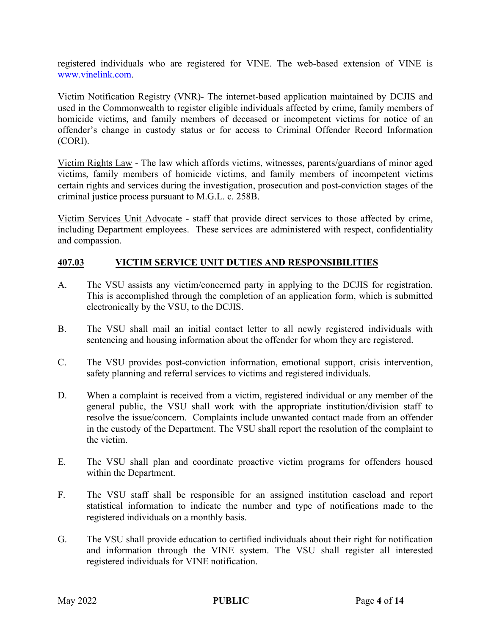registered individuals who are registered for VINE. The web-based extension of VINE is [www.vinelink.com.](http://www.vinelink.com/)

Victim Notification Registry (VNR)- The internet-based application maintained by DCJIS and used in the Commonwealth to register eligible individuals affected by crime, family members of homicide victims, and family members of deceased or incompetent victims for notice of an offender's change in custody status or for access to Criminal Offender Record Information (CORI).

Victim Rights Law - The law which affords victims, witnesses, parents/guardians of minor aged victims, family members of homicide victims, and family members of incompetent victims certain rights and services during the investigation, prosecution and post-conviction stages of the criminal justice process pursuant to M.G.L. c. 258B.

Victim Services Unit Advocate - staff that provide direct services to those affected by crime, including Department employees. These services are administered with respect, confidentiality and compassion.

#### **407.03 VICTIM SERVICE UNIT DUTIES AND RESPONSIBILITIES**

- A. The VSU assists any victim/concerned party in applying to the DCJIS for registration. This is accomplished through the completion of an application form, which is submitted electronically by the VSU, to the DCJIS.
- B. The VSU shall mail an initial contact letter to all newly registered individuals with sentencing and housing information about the offender for whom they are registered.
- C. The VSU provides post-conviction information, emotional support, crisis intervention, safety planning and referral services to victims and registered individuals.
- D. When a complaint is received from a victim, registered individual or any member of the general public, the VSU shall work with the appropriate institution/division staff to resolve the issue/concern. Complaints include unwanted contact made from an offender in the custody of the Department. The VSU shall report the resolution of the complaint to the victim.
- E. The VSU shall plan and coordinate proactive victim programs for offenders housed within the Department.
- F. The VSU staff shall be responsible for an assigned institution caseload and report statistical information to indicate the number and type of notifications made to the registered individuals on a monthly basis.
- G. The VSU shall provide education to certified individuals about their right for notification and information through the VINE system. The VSU shall register all interested registered individuals for VINE notification.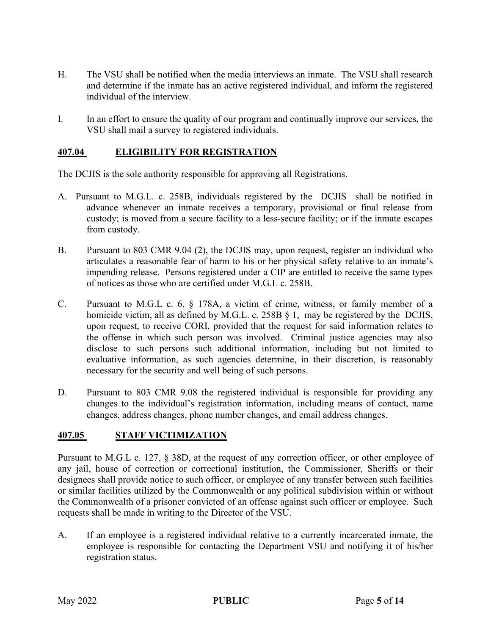- H. The VSU shall be notified when the media interviews an inmate. The VSU shall research and determine if the inmate has an active registered individual, and inform the registered individual of the interview.
- I. In an effort to ensure the quality of our program and continually improve our services, the VSU shall mail a survey to registered individuals.

### **407.04 ELIGIBILITY FOR REGISTRATION**

The DCJIS is the sole authority responsible for approving all Registrations.

- A. Pursuant to M.G.L. c. 258B, individuals registered by the DCJIS shall be notified in advance whenever an inmate receives a temporary, provisional or final release from custody; is moved from a secure facility to a less-secure facility; or if the inmate escapes from custody.
- B. Pursuant to 803 CMR 9.04 (2), the DCJIS may, upon request, register an individual who articulates a reasonable fear of harm to his or her physical safety relative to an inmate's impending release. Persons registered under a CIP are entitled to receive the same types of notices as those who are certified under M.G.L c. 258B.
- C. Pursuant to M.G.L c. 6, § 178A, a victim of crime, witness, or family member of a homicide victim, all as defined by M.G.L. c. 258B § 1, may be registered by the DCJIS, upon request, to receive CORI, provided that the request for said information relates to the offense in which such person was involved. Criminal justice agencies may also disclose to such persons such additional information, including but not limited to evaluative information, as such agencies determine, in their discretion, is reasonably necessary for the security and well being of such persons.
- D. Pursuant to 803 CMR 9.08 the registered individual is responsible for providing any changes to the individual's registration information, including means of contact, name changes, address changes, phone number changes, and email address changes.

#### **407.05 STAFF VICTIMIZATION**

Pursuant to M.G.L c. 127, § 38D, at the request of any correction officer, or other employee of any jail, house of correction or correctional institution, the Commissioner, Sheriffs or their designees shall provide notice to such officer, or employee of any transfer between such facilities or similar facilities utilized by the Commonwealth or any political subdivision within or without the Commonwealth of a prisoner convicted of an offense against such officer or employee. Such requests shall be made in writing to the Director of the VSU.

A. If an employee is a registered individual relative to a currently incarcerated inmate, the employee is responsible for contacting the Department VSU and notifying it of his/her registration status.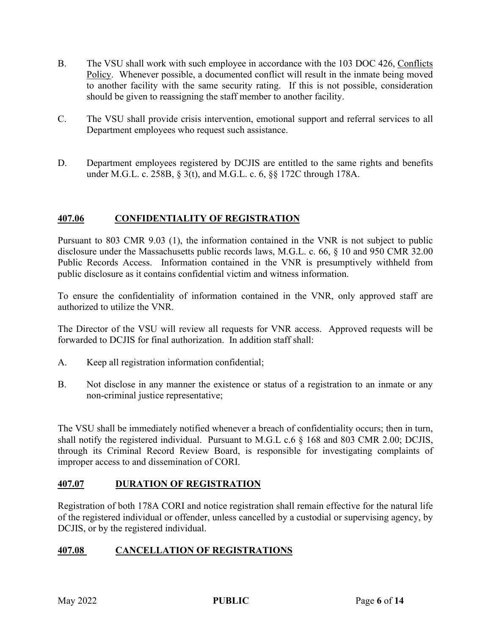- B. The VSU shall work with such employee in accordance with the 103 DOC 426, Conflicts Policy. Whenever possible, a documented conflict will result in the inmate being moved to another facility with the same security rating. If this is not possible, consideration should be given to reassigning the staff member to another facility.
- C. The VSU shall provide crisis intervention, emotional support and referral services to all Department employees who request such assistance.
- D. Department employees registered by DCJIS are entitled to the same rights and benefits under M.G.L. c. 258B, § 3(t), and M.G.L. c. 6, §§ 172C through 178A.

# **407.06 CONFIDENTIALITY OF REGISTRATION**

Pursuant to 803 CMR 9.03 (1), the information contained in the VNR is not subject to public disclosure under the Massachusetts public records laws, M.G.L. c. 66, § 10 and 950 CMR 32.00 Public Records Access. Information contained in the VNR is presumptively withheld from public disclosure as it contains confidential victim and witness information.

To ensure the confidentiality of information contained in the VNR, only approved staff are authorized to utilize the VNR.

The Director of the VSU will review all requests for VNR access. Approved requests will be forwarded to DCJIS for final authorization. In addition staff shall:

- A. Keep all registration information confidential;
- B. Not disclose in any manner the existence or status of a registration to an inmate or any non-criminal justice representative;

The VSU shall be immediately notified whenever a breach of confidentiality occurs; then in turn, shall notify the registered individual. Pursuant to M.G.L c.6 § 168 and 803 CMR 2.00; DCJIS, through its Criminal Record Review Board, is responsible for investigating complaints of improper access to and dissemination of CORI.

# **407.07 DURATION OF REGISTRATION**

Registration of both 178A CORI and notice registration shall remain effective for the natural life of the registered individual or offender, unless cancelled by a custodial or supervising agency, by DCJIS, or by the registered individual.

# **407.08 CANCELLATION OF REGISTRATIONS**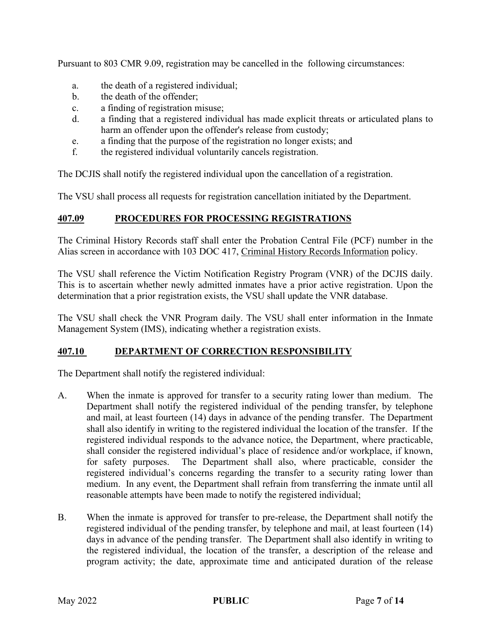Pursuant to 803 CMR 9.09, registration may be cancelled in the following circumstances:

- a. the death of a registered individual;
- b. the death of the offender;
- c. a finding of registration misuse;
- d. a finding that a registered individual has made explicit threats or articulated plans to harm an offender upon the offender's release from custody;
- e. a finding that the purpose of the registration no longer exists; and
- f. the registered individual voluntarily cancels registration.

The DCJIS shall notify the registered individual upon the cancellation of a registration.

The VSU shall process all requests for registration cancellation initiated by the Department.

# **407.09 PROCEDURES FOR PROCESSING REGISTRATIONS**

The Criminal History Records staff shall enter the Probation Central File (PCF) number in the Alias screen in accordance with 103 DOC 417, Criminal History Records Information policy.

The VSU shall reference the Victim Notification Registry Program (VNR) of the DCJIS daily. This is to ascertain whether newly admitted inmates have a prior active registration. Upon the determination that a prior registration exists, the VSU shall update the VNR database.

The VSU shall check the VNR Program daily. The VSU shall enter information in the Inmate Management System (IMS), indicating whether a registration exists.

# **407.10 DEPARTMENT OF CORRECTION RESPONSIBILITY**

The Department shall notify the registered individual:

- A. When the inmate is approved for transfer to a security rating lower than medium. The Department shall notify the registered individual of the pending transfer, by telephone and mail, at least fourteen (14) days in advance of the pending transfer. The Department shall also identify in writing to the registered individual the location of the transfer. If the registered individual responds to the advance notice, the Department, where practicable, shall consider the registered individual's place of residence and/or workplace, if known, for safety purposes. The Department shall also, where practicable, consider the registered individual's concerns regarding the transfer to a security rating lower than medium. In any event, the Department shall refrain from transferring the inmate until all reasonable attempts have been made to notify the registered individual;
- B. When the inmate is approved for transfer to pre-release, the Department shall notify the registered individual of the pending transfer, by telephone and mail, at least fourteen (14) days in advance of the pending transfer. The Department shall also identify in writing to the registered individual, the location of the transfer, a description of the release and program activity; the date, approximate time and anticipated duration of the release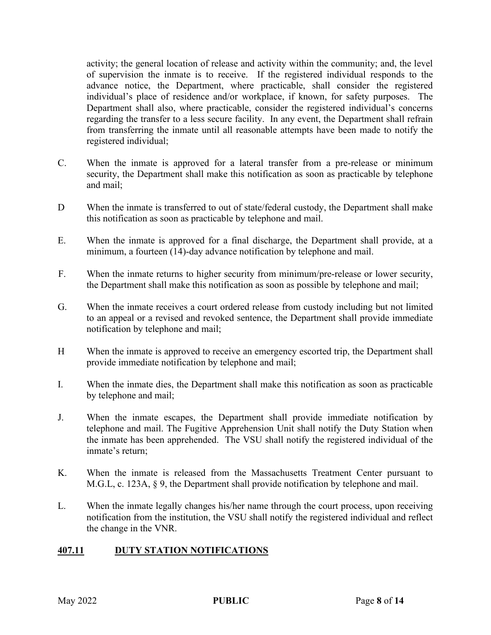activity; the general location of release and activity within the community; and, the level of supervision the inmate is to receive. If the registered individual responds to the advance notice, the Department, where practicable, shall consider the registered individual's place of residence and/or workplace, if known, for safety purposes. The Department shall also, where practicable, consider the registered individual's concerns regarding the transfer to a less secure facility. In any event, the Department shall refrain from transferring the inmate until all reasonable attempts have been made to notify the registered individual;

- C. When the inmate is approved for a lateral transfer from a pre-release or minimum security, the Department shall make this notification as soon as practicable by telephone and mail;
- D When the inmate is transferred to out of state/federal custody, the Department shall make this notification as soon as practicable by telephone and mail.
- E. When the inmate is approved for a final discharge, the Department shall provide, at a minimum, a fourteen (14)-day advance notification by telephone and mail.
- F. When the inmate returns to higher security from minimum/pre-release or lower security, the Department shall make this notification as soon as possible by telephone and mail;
- G. When the inmate receives a court ordered release from custody including but not limited to an appeal or a revised and revoked sentence, the Department shall provide immediate notification by telephone and mail;
- H When the inmate is approved to receive an emergency escorted trip, the Department shall provide immediate notification by telephone and mail;
- I. When the inmate dies, the Department shall make this notification as soon as practicable by telephone and mail;
- J. When the inmate escapes, the Department shall provide immediate notification by telephone and mail. The Fugitive Apprehension Unit shall notify the Duty Station when the inmate has been apprehended. The VSU shall notify the registered individual of the inmate's return;
- K. When the inmate is released from the Massachusetts Treatment Center pursuant to M.G.L, c. 123A, § 9, the Department shall provide notification by telephone and mail.
- L. When the inmate legally changes his/her name through the court process, upon receiving notification from the institution, the VSU shall notify the registered individual and reflect the change in the VNR.

#### **407.11 DUTY STATION NOTIFICATIONS**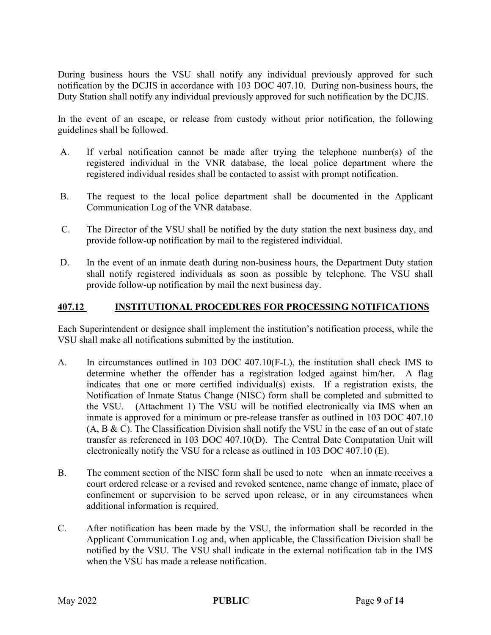During business hours the VSU shall notify any individual previously approved for such notification by the DCJIS in accordance with 103 DOC 407.10. During non-business hours, the Duty Station shall notify any individual previously approved for such notification by the DCJIS.

In the event of an escape, or release from custody without prior notification, the following guidelines shall be followed.

- A. If verbal notification cannot be made after trying the telephone number(s) of the registered individual in the VNR database, the local police department where the registered individual resides shall be contacted to assist with prompt notification.
- B. The request to the local police department shall be documented in the Applicant Communication Log of the VNR database.
- C. The Director of the VSU shall be notified by the duty station the next business day, and provide follow-up notification by mail to the registered individual.
- D. In the event of an inmate death during non-business hours, the Department Duty station shall notify registered individuals as soon as possible by telephone. The VSU shall provide follow-up notification by mail the next business day.

#### **407.12 INSTITUTIONAL PROCEDURES FOR PROCESSING NOTIFICATIONS**

Each Superintendent or designee shall implement the institution's notification process, while the VSU shall make all notifications submitted by the institution.

- A. In circumstances outlined in 103 DOC 407.10(F-L), the institution shall check IMS to determine whether the offender has a registration lodged against him/her. A flag indicates that one or more certified individual(s) exists. If a registration exists, the Notification of Inmate Status Change (NISC) form shall be completed and submitted to the VSU. (Attachment 1) The VSU will be notified electronically via IMS when an inmate is approved for a minimum or pre-release transfer as outlined in 103 DOC 407.10 (A, B & C). The Classification Division shall notify the VSU in the case of an out of state transfer as referenced in 103 DOC 407.10(D). The Central Date Computation Unit will electronically notify the VSU for a release as outlined in 103 DOC 407.10 (E).
- B. The comment section of the NISC form shall be used to note when an inmate receives a court ordered release or a revised and revoked sentence, name change of inmate, place of confinement or supervision to be served upon release, or in any circumstances when additional information is required.
- C. After notification has been made by the VSU, the information shall be recorded in the Applicant Communication Log and, when applicable, the Classification Division shall be notified by the VSU. The VSU shall indicate in the external notification tab in the IMS when the VSU has made a release notification.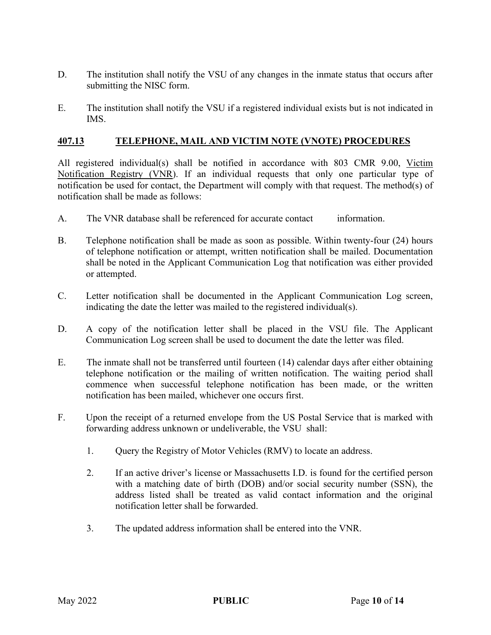- D. The institution shall notify the VSU of any changes in the inmate status that occurs after submitting the NISC form.
- E. The institution shall notify the VSU if a registered individual exists but is not indicated in IMS.

### **407.13 TELEPHONE, MAIL AND VICTIM NOTE (VNOTE) PROCEDURES**

All registered individual(s) shall be notified in accordance with 803 CMR 9.00, Victim Notification Registry (VNR). If an individual requests that only one particular type of notification be used for contact, the Department will comply with that request. The method(s) of notification shall be made as follows:

- A. The VNR database shall be referenced for accurate contact information.
- B. Telephone notification shall be made as soon as possible. Within twenty-four (24) hours of telephone notification or attempt, written notification shall be mailed. Documentation shall be noted in the Applicant Communication Log that notification was either provided or attempted.
- C. Letter notification shall be documented in the Applicant Communication Log screen, indicating the date the letter was mailed to the registered individual(s).
- D. A copy of the notification letter shall be placed in the VSU file. The Applicant Communication Log screen shall be used to document the date the letter was filed.
- E. The inmate shall not be transferred until fourteen (14) calendar days after either obtaining telephone notification or the mailing of written notification. The waiting period shall commence when successful telephone notification has been made, or the written notification has been mailed, whichever one occurs first.
- F. Upon the receipt of a returned envelope from the US Postal Service that is marked with forwarding address unknown or undeliverable, the VSU shall:
	- 1. Query the Registry of Motor Vehicles (RMV) to locate an address.
	- 2. If an active driver's license or Massachusetts I.D. is found for the certified person with a matching date of birth (DOB) and/or social security number (SSN), the address listed shall be treated as valid contact information and the original notification letter shall be forwarded.
	- 3. The updated address information shall be entered into the VNR.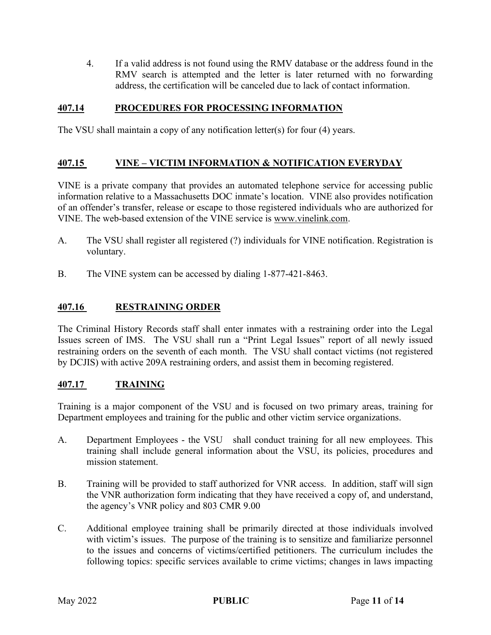4. If a valid address is not found using the RMV database or the address found in the RMV search is attempted and the letter is later returned with no forwarding address, the certification will be canceled due to lack of contact information.

### **407.14 PROCEDURES FOR PROCESSING INFORMATION**

The VSU shall maintain a copy of any notification letter(s) for four (4) years.

### **407.15 VINE – VICTIM INFORMATION & NOTIFICATION EVERYDAY**

VINE is a private company that provides an automated telephone service for accessing public information relative to a Massachusetts DOC inmate's location. VINE also provides notification of an offender's transfer, release or escape to those registered individuals who are authorized for VINE. The web-based extension of the VINE service is www.vinelink.com.

- A. The VSU shall register all registered (?) individuals for VINE notification. Registration is voluntary.
- B. The VINE system can be accessed by dialing 1-877-421-8463.

# **407.16 RESTRAINING ORDER**

The Criminal History Records staff shall enter inmates with a restraining order into the Legal Issues screen of IMS. The VSU shall run a "Print Legal Issues" report of all newly issued restraining orders on the seventh of each month. The VSU shall contact victims (not registered by DCJIS) with active 209A restraining orders, and assist them in becoming registered.

#### **407.17 TRAINING**

Training is a major component of the VSU and is focused on two primary areas, training for Department employees and training for the public and other victim service organizations.

- A. Department Employees the VSU shall conduct training for all new employees. This training shall include general information about the VSU, its policies, procedures and mission statement.
- B. Training will be provided to staff authorized for VNR access. In addition, staff will sign the VNR authorization form indicating that they have received a copy of, and understand, the agency's VNR policy and 803 CMR 9.00
- C. Additional employee training shall be primarily directed at those individuals involved with victim's issues. The purpose of the training is to sensitize and familiarize personnel to the issues and concerns of victims/certified petitioners. The curriculum includes the following topics: specific services available to crime victims; changes in laws impacting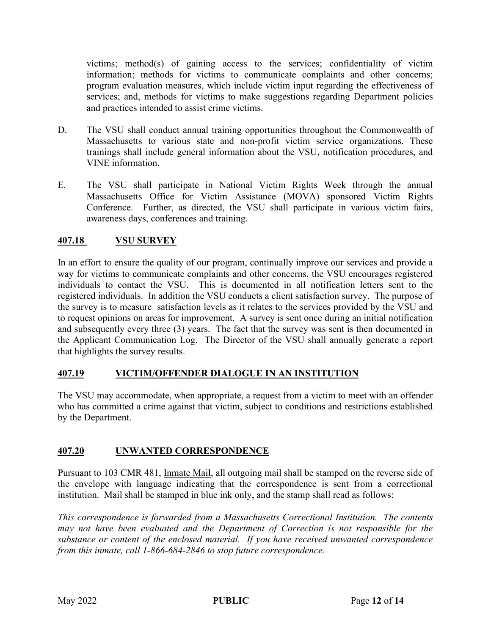victims; method(s) of gaining access to the services; confidentiality of victim information; methods for victims to communicate complaints and other concerns; program evaluation measures, which include victim input regarding the effectiveness of services; and, methods for victims to make suggestions regarding Department policies and practices intended to assist crime victims.

- D. The VSU shall conduct annual training opportunities throughout the Commonwealth of Massachusetts to various state and non-profit victim service organizations. These trainings shall include general information about the VSU, notification procedures, and VINE information.
- E. The VSU shall participate in National Victim Rights Week through the annual Massachusetts Office for Victim Assistance (MOVA) sponsored Victim Rights Conference. Further, as directed, the VSU shall participate in various victim fairs, awareness days, conferences and training.

# **407.18 VSU SURVEY**

In an effort to ensure the quality of our program, continually improve our services and provide a way for victims to communicate complaints and other concerns, the VSU encourages registered individuals to contact the VSU. This is documented in all notification letters sent to the registered individuals. In addition the VSU conducts a client satisfaction survey. The purpose of the survey is to measure satisfaction levels as it relates to the services provided by the VSU and to request opinions on areas for improvement. A survey is sent once during an initial notification and subsequently every three (3) years. The fact that the survey was sent is then documented in the Applicant Communication Log. The Director of the VSU shall annually generate a report that highlights the survey results.

#### **407.19 VICTIM/OFFENDER DIALOGUE IN AN INSTITUTION**

The VSU may accommodate, when appropriate, a request from a victim to meet with an offender who has committed a crime against that victim, subject to conditions and restrictions established by the Department.

#### **407.20 UNWANTED CORRESPONDENCE**

Pursuant to 103 CMR 481, Inmate Mail, all outgoing mail shall be stamped on the reverse side of the envelope with language indicating that the correspondence is sent from a correctional institution. Mail shall be stamped in blue ink only, and the stamp shall read as follows:

*This correspondence is forwarded from a Massachusetts Correctional Institution. The contents may not have been evaluated and the Department of Correction is not responsible for the substance or content of the enclosed material. If you have received unwanted correspondence from this inmate, call 1-866-684-2846 to stop future correspondence.*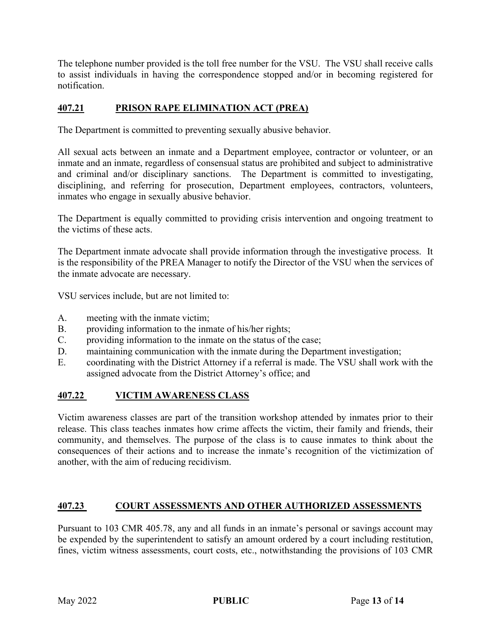The telephone number provided is the toll free number for the VSU. The VSU shall receive calls to assist individuals in having the correspondence stopped and/or in becoming registered for notification.

### **407.21 PRISON RAPE ELIMINATION ACT (PREA)**

The Department is committed to preventing sexually abusive behavior.

All sexual acts between an inmate and a Department employee, contractor or volunteer, or an inmate and an inmate, regardless of consensual status are prohibited and subject to administrative and criminal and/or disciplinary sanctions. The Department is committed to investigating, disciplining, and referring for prosecution, Department employees, contractors, volunteers, inmates who engage in sexually abusive behavior.

The Department is equally committed to providing crisis intervention and ongoing treatment to the victims of these acts.

The Department inmate advocate shall provide information through the investigative process. It is the responsibility of the PREA Manager to notify the Director of the VSU when the services of the inmate advocate are necessary.

VSU services include, but are not limited to:

- A. meeting with the inmate victim;
- B. providing information to the inmate of his/her rights;
- C. providing information to the inmate on the status of the case;
- D. maintaining communication with the inmate during the Department investigation;
- E. coordinating with the District Attorney if a referral is made. The VSU shall work with the assigned advocate from the District Attorney's office; and

# **407.22 VICTIM AWARENESS CLASS**

Victim awareness classes are part of the transition workshop attended by inmates prior to their release. This class teaches inmates how crime affects the victim, their family and friends, their community, and themselves. The purpose of the class is to cause inmates to think about the consequences of their actions and to increase the inmate's recognition of the victimization of another, with the aim of reducing recidivism.

# **407.23 COURT ASSESSMENTS AND OTHER AUTHORIZED ASSESSMENTS**

Pursuant to 103 CMR 405.78, any and all funds in an inmate's personal or savings account may be expended by the superintendent to satisfy an amount ordered by a court including restitution, fines, victim witness assessments, court costs, etc., notwithstanding the provisions of 103 CMR